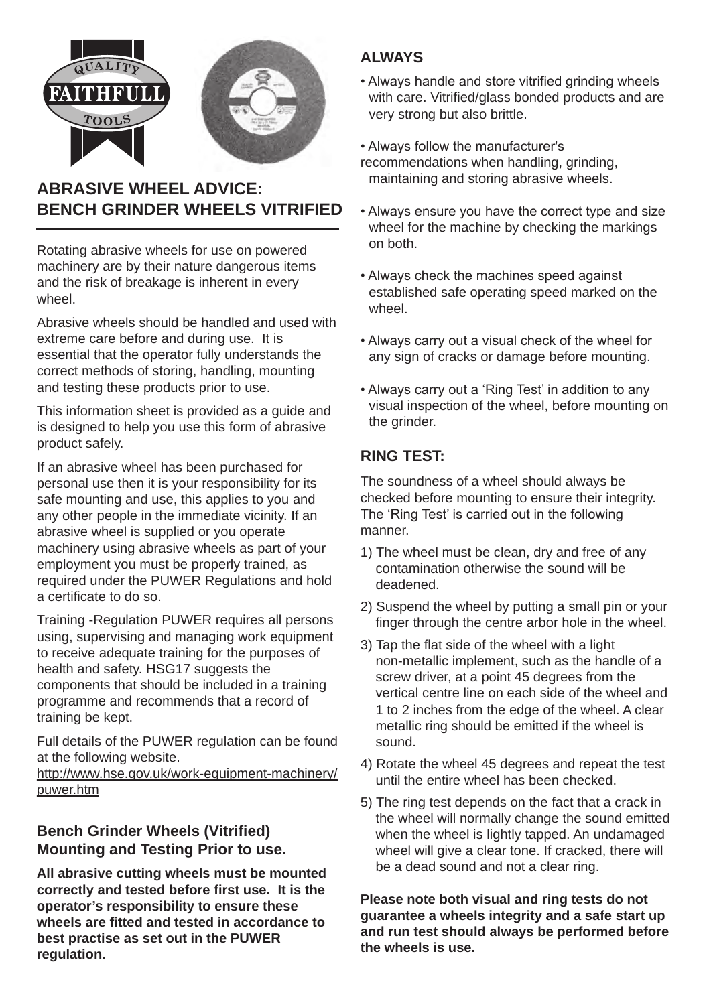

# **ABRASIVE WHEEL ADVICE: BENCH GRINDER WHEELS VITRIFIED**

Rotating abrasive wheels for use on powered machinery are by their nature dangerous items and the risk of breakage is inherent in every wheel

Abrasive wheels should be handled and used with extreme care before and during use. It is essential that the operator fully understands the correct methods of storing, handling, mounting and testing these products prior to use.

This information sheet is provided as a guide and is designed to help you use this form of abrasive product safely.

If an abrasive wheel has been purchased for personal use then it is your responsibility for its safe mounting and use, this applies to you and any other people in the immediate vicinity. If an abrasive wheel is supplied or you operate machinery using abrasive wheels as part of your employment you must be properly trained, as required under the PUWER Regulations and hold a certificate to do so.

Training -Regulation PUWER requires all persons using, supervising and managing work equipment to receive adequate training for the purposes of health and safety. HSG17 suggests the components that should be included in a training programme and recommends that a record of training be kept.

Full details of the PUWER regulation can be found at the following website.

http://www.hse.gov.uk/work-equipment-machinery/ puwer.htm

## **Bench Grinder Wheels (Vitrified) Mounting and Testing Prior to use.**

**All abrasive cutting wheels must be mounted correctly and tested before first use. It is the operator's responsibility to ensure these wheels are fitted and tested in accordance to best practise as set out in the PUWER regulation.** 

## **ALWAYS**

- Always handle and store vitrified grinding wheels with care. Vitrified/glass bonded products and are very strong but also brittle.
- Always follow the manufacturer's recommendations when handling, grinding, maintaining and storing abrasive wheels.
- Always ensure you have the correct type and size wheel for the machine by checking the markings on both.
- Always check the machines speed against established safe operating speed marked on the wheel.
- Always carry out a visual check of the wheel for any sign of cracks or damage before mounting.
- Always carry out a 'Ring Test' in addition to any visual inspection of the wheel, before mounting on the grinder.

## **RING TEST:**

The soundness of a wheel should always be checked before mounting to ensure their integrity. The 'Ring Test' is carried out in the following manner.

- 1) The wheel must be clean, dry and free of any contamination otherwise the sound will be deadened.
- 2) Suspend the wheel by putting a small pin or your finger through the centre arbor hole in the wheel.
- 3) Tap the flat side of the wheel with a light non-metallic implement, such as the handle of a screw driver, at a point 45 degrees from the vertical centre line on each side of the wheel and 1 to 2 inches from the edge of the wheel. A clear metallic ring should be emitted if the wheel is sound.
- 4) Rotate the wheel 45 degrees and repeat the test until the entire wheel has been checked.
- 5) The ring test depends on the fact that a crack in the wheel will normally change the sound emitted when the wheel is lightly tapped. An undamaged wheel will give a clear tone. If cracked, there will be a dead sound and not a clear ring.

**Please note both visual and ring tests do not guarantee a wheels integrity and a safe start up and run test should always be performed before the wheels is use.**